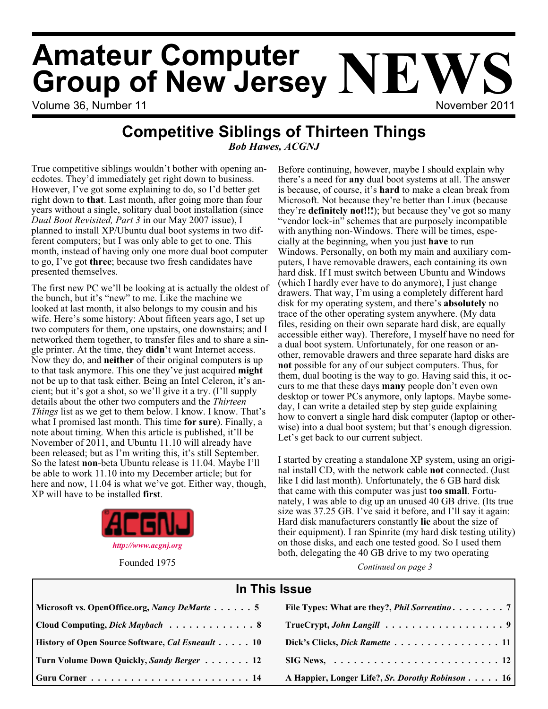# Volume 36, Number 11 November 2011 **Amateur Computer Group of New Jersey NEWS**

# **Competitive Siblings of Thirteen Things**

*Bob Hawes, ACGNJ*

True competitive siblings wouldn't bother with opening anecdotes. They'd immediately get right down to business. However, I've got some explaining to do, so I'd better get right down to **that**. Last month, after going more than four years without a single, solitary dual boot installation (since *Dual Boot Revisited, Part 3* in our May 2007 issue), I planned to install XP/Ubuntu dual boot systems in two different computers; but I was only able to get to one. This month, instead of having only one more dual boot computer to go, I've got **three**; because two fresh candidates have presented themselves.

The first new PC we'll be looking at is actually the oldest of the bunch, but it's "new" to me. Like the machine we looked at last month, it also belongs to my cousin and his wife. Here's some history: About fifteen years ago, I set up two computers for them, one upstairs, one downstairs; and I networked them together, to transfer files and to share a single printer. At the time, they **didn'**t want Internet access. Now they do, and **neither** of their original computers is up to that task anymore. This one they've just acquired **might** not be up to that task either. Being an Intel Celeron, it's ancient; but it's got a shot, so we'll give it a try. (I'll supply details about the other two computers and the *Thirteen Things* list as we get to them below. I know. I know. That's what I promised last month. This time **for sure**). Finally, a note about timing. When this article is published, it'll be November of 2011, and Ubuntu 11.10 will already have been released; but as I'm writing this, it's still September. So the latest **non**-beta Ubuntu release is 11.04. Maybe I'll be able to work 11.10 into my December article; but for here and now, 11.04 is what we've got. Either way, though, XP will have to be installed **first**.



Before continuing, however, maybe I should explain why there's a need for **any** dual boot systems at all. The answer is because, of course, it's **hard** to make a clean break from Microsoft. Not because they're better than Linux (because they're **definitely not!!!**); but because they've got so many "vendor lock-in" schemes that are purposely incompatible with anything non-Windows. There will be times, especially at the beginning, when you just **have** to run Windows. Personally, on both my main and auxiliary computers, I have removable drawers, each containing its own hard disk. If I must switch between Ubuntu and Windows (which I hardly ever have to do anymore), I just change drawers. That way, I'm using a completely different hard disk for my operating system, and there's **absolutely** no trace of the other operating system anywhere. (My data files, residing on their own separate hard disk, are equally accessible either way). Therefore, I myself have no need for a dual boot system. Unfortunately, for one reason or another, removable drawers and three separate hard disks are **not** possible for any of our subject computers. Thus, for them, dual booting is the way to go. Having said this, it occurs to me that these days **many** people don't even own desktop or tower PCs anymore, only laptops. Maybe someday, I can write a detailed step by step guide explaining how to convert a single hard disk computer (laptop or otherwise) into a dual boot system; but that's enough digression. Let's get back to our current subject.

I started by creating a standalone XP system, using an original install CD, with the network cable **not** connected. (Just like I did last month). Unfortunately, the 6 GB hard disk that came with this computer was just **too small**. Fortunately, I was able to dig up an unused 40 GB drive. (Its true size was 37.25 GB. I've said it before, and I'll say it again: Hard disk manufacturers constantly **lie** about the size of their equipment). I ran Spinrite (my hard disk testing utility) on those disks, and each one tested good. So I used them both, delegating the 40 GB drive to my two operating

Founded 1975 *Continued on page 3*

| In This Issue                                                                   |                                                                        |  |
|---------------------------------------------------------------------------------|------------------------------------------------------------------------|--|
| Microsoft vs. OpenOffice.org, Nancy DeMarte 5                                   | File Types: What are they?, <i>Phil Sorrentino</i> 7                   |  |
| Cloud Computing, Dick Maybach 8                                                 |                                                                        |  |
| History of Open Source Software, Cal Esneault 10                                | Dick's Clicks, Dick Ramette 11                                         |  |
| Turn Volume Down Quickly, Sandy Berger 12                                       | $SIG News, \ldots \ldots \ldots \ldots \ldots \ldots \ldots \ldots 12$ |  |
| Guru Corner $\ldots \ldots \ldots \ldots \ldots \ldots \ldots \ldots \ldots$ 14 | A Happier, Longer Life?, Sr. Dorothy Robinson 16                       |  |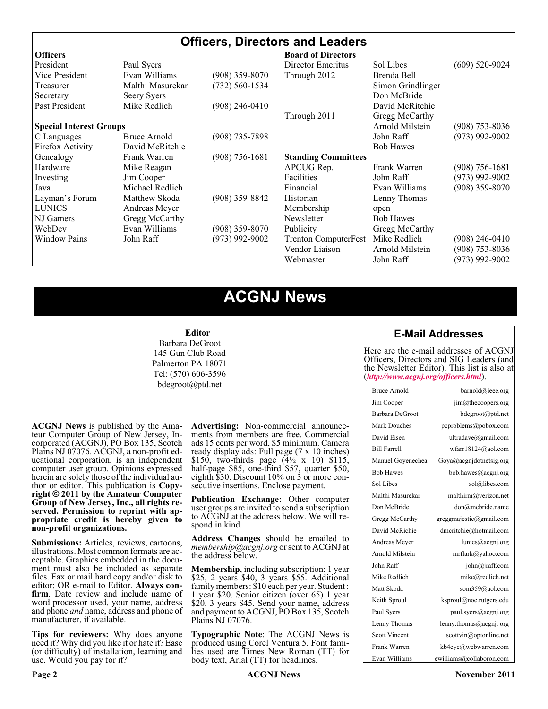# **Officers, Directors and Leaders**

| <b>Officers</b>                |                  |                  | <b>Board of Directors</b>   |                   |                  |
|--------------------------------|------------------|------------------|-----------------------------|-------------------|------------------|
| President                      | Paul Syers       |                  | Director Emeritus           | Sol Libes         | $(609)$ 520-9024 |
| Vice President                 | Evan Williams    | $(908)$ 359-8070 | Through 2012                | Brenda Bell       |                  |
| Treasurer                      | Malthi Masurekar | (732) 560-1534   |                             | Simon Grindlinger |                  |
| Secretary                      | Seery Syers      |                  |                             | Don McBride       |                  |
| Past President                 | Mike Redlich     | $(908)$ 246-0410 |                             | David McRitchie   |                  |
|                                |                  |                  | Through 2011                | Gregg McCarthy    |                  |
| <b>Special Interest Groups</b> |                  |                  |                             | Arnold Milstein   | $(908)$ 753-8036 |
| C Languages                    | Bruce Arnold     | $(908)$ 735-7898 |                             | John Raff         | $(973)$ 992-9002 |
| Firefox Activity               | David McRitchie  |                  |                             | <b>Bob Hawes</b>  |                  |
| Genealogy                      | Frank Warren     | $(908)$ 756-1681 | <b>Standing Committees</b>  |                   |                  |
| Hardware                       | Mike Reagan      |                  | APCUG Rep.                  | Frank Warren      | $(908)$ 756-1681 |
| Investing                      | Jim Cooper       |                  | <b>Facilities</b>           | John Raff         | $(973)$ 992-9002 |
| Java                           | Michael Redlich  |                  | Financial                   | Evan Williams     | $(908)$ 359-8070 |
| Layman's Forum                 | Matthew Skoda    | $(908)$ 359-8842 | Historian                   | Lenny Thomas      |                  |
| <b>LUNICS</b>                  | Andreas Meyer    |                  | Membership                  | open              |                  |
| NJ Gamers                      | Gregg McCarthy   |                  | Newsletter                  | <b>Bob Hawes</b>  |                  |
| WebDev                         | Evan Williams    | $(908)$ 359-8070 | Publicity                   | Gregg McCarthy    |                  |
| <b>Window Pains</b>            | John Raff        | $(973)$ 992-9002 | <b>Trenton ComputerFest</b> | Mike Redlich      | $(908)$ 246-0410 |
|                                |                  |                  | Vendor Liaison              | Arnold Milstein   | $(908)$ 753-8036 |
|                                |                  |                  | Webmaster                   | John Raff         | (973) 992-9002   |

# **ACGNJ News**

#### **Editor**

Barbara DeGroot 145 Gun Club Road Palmerton PA 18071 Tel: (570) 606-3596 bdegroot@ptd.net

**ACGNJ News** is published by the Ama- teur Computer Group of New Jersey, In- corporated (ACGNJ), PO Box 135, Scotch Plains NJ 07076. ACGNJ, a non-profit ed- ucational corporation, is an independent computer user group. Opinions expressed herein are solely those of the individual author or editor. This publication is **Copy-**<br>**right**  $\bigcirc$  2011 by the Amateur Computer<br>**Group of New Jersey, Inc., all rights re-Group of New Jersey, Inc., all rights re- served. Permission to reprint with ap- propriate credit is hereby given to non-profit organizations.**

**Submissions:** Articles, reviews, cartoons, illustrations. Most common formats are ac- ceptable. Graphics embedded in the docu- ment must also be included as separate files. Fax or mail hard copy and/or disk to editor; OR e-mail to Editor. Always confirm. Date review and include name of word processor used, your name, address and phone *and* name, address and phone of manufacturer, if available.

**Tips for reviewers:** Why does anyone need it? Why did you like it or hate it? Ease (or difficulty) of installation, learning and use. Would you pay for it?

**Advertising:** Non-commercial announce- ments from members are free. Commercial ads 15 cents per word, \$5 minimum. Camera ready display ads: Full page (7 x 10 inches) \$150, two-thirds page  $(4\frac{1}{2} \times 10)$  \$115, half-page \$85, one-third \$57, quarter \$50, eighth \$30. Discount 10% on 3 or more con- secutive insertions. Enclose payment.

**Publication Exchange:** Other computer user groups are invited to send a subscription to ACGNJ at the address below. We will re- spond in kind.

**Address Changes** should be emailed to *membership@acgnj.org* or sent to ACGNJ at the address below.

**Membership**, including subscription: 1 year \$25, 2 years \$40, 3 years \$55. Additional family members: \$10 each per year. Student : 1 year \$20. Senior citizen (over 65) 1 year \$20, 3 years \$45. Send your name, address and payment to ACGNJ, PO Box 135, Scotch Plains NJ 07076.

**Typographic Note**: The ACGNJ News is produced using Corel Ventura 5. Font fami- lies used are Times New Roman (TT) for body text, Arial (TT) for headlines.

#### **E-Mail Addresses**

Here are the e-mail addresses of ACGNJ Officers, Directors and SIG Leaders (and the Newsletter Editor). This list is also at (*<http://www.acgnj.org/officers.html>*).

| Bruce Arnold         | barnold@ieee.org         |
|----------------------|--------------------------|
| Jim Cooper           | jim@thecoopers.org       |
| Barbara DeGroot      | bdegroot@ptd.net         |
| Mark Douches         | pcproblems@pobox.com     |
| David Eisen          | ultradave@gmail.com      |
| <b>Bill Farrell</b>  | wfarr18124@aol.com       |
| Manuel Goyenechea    | Goya@acgnidotnetsig.org  |
| <b>Bob Hawes</b>     | bob.hawes@acgnj.org      |
| Sol Libes            | sol@libes.com            |
| Malthi Masurekar     | malthirm@verizon.net     |
| Don McBride          | don@mcbride.name         |
| Gregg McCarthy       | greggmajestic@gmail.com  |
| David McRichie       | dmcritchie@hotmail.com   |
| Andreas Meyer        | lunics@acgnj.org         |
| Arnold Milstein      | mrflark@yahoo.com        |
| John Raff            | john@jraff.com           |
| Mike Redlich         | mike@redlich.net         |
| Matt Skoda           | som359@aol.com           |
| Keith Sproul         | ksproul@noc.rutgers.edu  |
| Paul Syers           | paul.syers@acgnj.org     |
| Lenny Thomas         | lenny.thomas@acgnj.org   |
| <b>Scott Vincent</b> | scottvin@optonline.net   |
| Frank Warren         | kb4cyc@webwarren.com     |
| Evan Williams        | ewilliams@collaboron.com |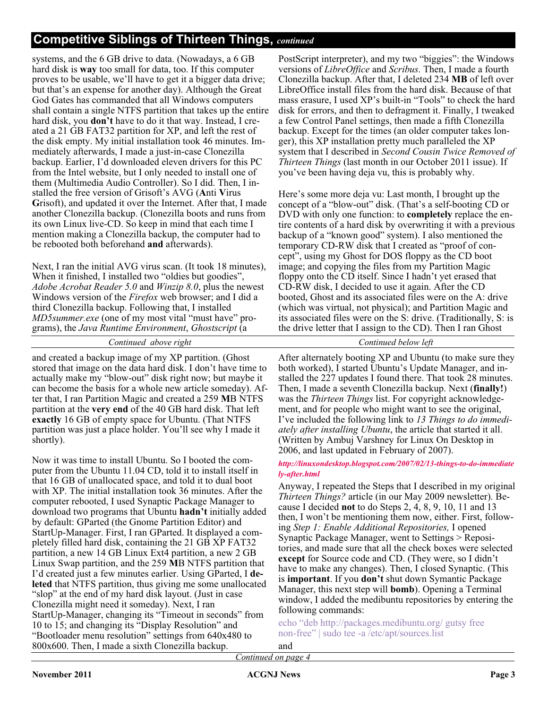# **Competitive Siblings of Thirteen Things,** *continued*

systems, and the 6 GB drive to data. (Nowadays, a 6 GB hard disk is **way** too small for data, too. If this computer proves to be usable, we'll have to get it a bigger data drive; but that's an expense for another day). Although the Great God Gates has commanded that all Windows computers shall contain a single NTFS partition that takes up the entire hard disk, you **don't** have to do it that way. Instead, I created a 21 GB FAT32 partition for XP, and left the rest of the disk empty. My initial installation took 46 minutes. Immediately afterwards, I made a just-in-case Clonezilla backup. Earlier, I'd downloaded eleven drivers for this PC from the Intel website, but I only needed to install one of them (Multimedia Audio Controller). So I did. Then, I installed the free version of Grisoft's AVG (**A**nti **V**irus **G**risoft), and updated it over the Internet. After that, I made another Clonezilla backup. (Clonezilla boots and runs from its own Linux live-CD. So keep in mind that each time I mention making a Clonezilla backup, the computer had to be rebooted both beforehand **and** afterwards).

Next, I ran the initial AVG virus scan. (It took 18 minutes), When it finished, I installed two "oldies but goodies", *Adobe Acrobat Reader 5.0* and *Winzip 8.0*, plus the newest Windows version of the *Firefox* web browser; and I did a third Clonezilla backup. Following that, I installed *MD5summer.exe* (one of my most vital "must have" programs), the *Java Runtime Environment*, *Ghostscript* (a

#### *Continued above right Continued below left*

and created a backup image of my XP partition. (Ghost stored that image on the data hard disk. I don't have time to actually make my "blow-out" disk right now; but maybe it can become the basis for a whole new article someday). After that, I ran Partition Magic and created a 259 **M**B NTFS partition at the **very end** of the 40 GB hard disk. That left **exactly** 16 GB of empty space for Ubuntu. (That NTFS partition was just a place holder. You'll see why I made it shortly).

Now it was time to install Ubuntu. So I booted the computer from the Ubuntu 11.04 CD, told it to install itself in that 16 GB of unallocated space, and told it to dual boot with XP. The initial installation took 36 minutes. After the computer rebooted, I used Synaptic Package Manager to download two programs that Ubuntu **hadn't** initially added by default: GParted (the Gnome Partition Editor) and StartUp-Manager. First, I ran GParted. It displayed a completely filled hard disk, containing the 21 GB XP FAT32 partition, a new 14 GB Linux Ext4 partition, a new 2 GB Linux Swap partition, and the 259 **M**B NTFS partition that I'd created just a few minutes earlier. Using GParted, I **deleted** that NTFS partition, thus giving me some unallocated "slop" at the end of my hard disk layout. (Just in case Clonezilla might need it someday). Next, I ran StartUp-Manager, changing its "Timeout in seconds" from 10 to 15; and changing its "Display Resolution" and "Bootloader menu resolution" settings from 640x480 to 800x600. Then, I made a sixth Clonezilla backup.

PostScript interpreter), and my two "biggies": the Windows versions of *LibreOffice* and *Scribus*. Then, I made a fourth Clonezilla backup. After that, I deleted 234 **MB** of left over LibreOffice install files from the hard disk. Because of that mass erasure, I used XP's built-in "Tools" to check the hard disk for errors, and then to defragment it. Finally, I tweaked a few Control Panel settings, then made a fifth Clonezilla backup. Except for the times (an older computer takes longer), this XP installation pretty much paralleled the XP system that I described in *Second Cousin Twice Removed of Thirteen Things* (last month in our October 2011 issue). If you've been having deja vu, this is probably why.

Here's some more deja vu: Last month, I brought up the concept of a "blow-out" disk. (That's a self-booting CD or DVD with only one function: to **completely** replace the entire contents of a hard disk by overwriting it with a previous backup of a "known good" system). I also mentioned the temporary CD-RW disk that I created as "proof of concept", using my Ghost for DOS floppy as the CD boot image; and copying the files from my Partition Magic floppy onto the CD itself. Since I hadn't yet erased that CD-RW disk, I decided to use it again. After the CD booted, Ghost and its associated files were on the A: drive (which was virtual, not physical); and Partition Magic and its associated files were on the S: drive. (Traditionally, S: is the drive letter that I assign to the CD). Then I ran Ghost

After alternately booting XP and Ubuntu (to make sure they both worked), I started Ubuntu's Update Manager, and installed the 227 updates I found there. That took 28 minutes. Then, I made a seventh Clonezilla backup. Next (**finally!**) was the *Thirteen Things* list. For copyright acknowledgement, and for people who might want to see the original, I've included the following link to *13 Things to do immediately after installing Ubuntu*, the article that started it all. (Written by Ambuj Varshney for Linux On Desktop in 2006, and last updated in February of 2007).

#### *[http://linuxondesktop.blogspot.com/2007/02/13-things-to-do-immediate](http://linuxondesktop.blogspot.com/2007/02/13-things-to-do-immediately-after.html) ly-after.html*

Anyway, I repeated the Steps that I described in my original *Thirteen Things?* article (in our May 2009 newsletter). Because I decided **not** to do Steps 2, 4, 8, 9, 10, 11 and 13 then, I won't be mentioning them now, either. First, following *Step 1: Enable Additional Repositories,* I opened Synaptic Package Manager, went to Settings > Repositories, and made sure that all the check boxes were selected **except** for Source code and CD. (They were, so I didn't have to make any changes). Then, I closed Synaptic. (This is **important**. If you **don't** shut down Symantic Package Manager, this next step will **bomb**). Opening a Terminal window, I added the medibuntu repositories by entering the following commands:

echo "deb http://packages.medibuntu.org/ gutsy free non-free" | sudo tee -a /etc/apt/sources.list

and

*Continued on page 4*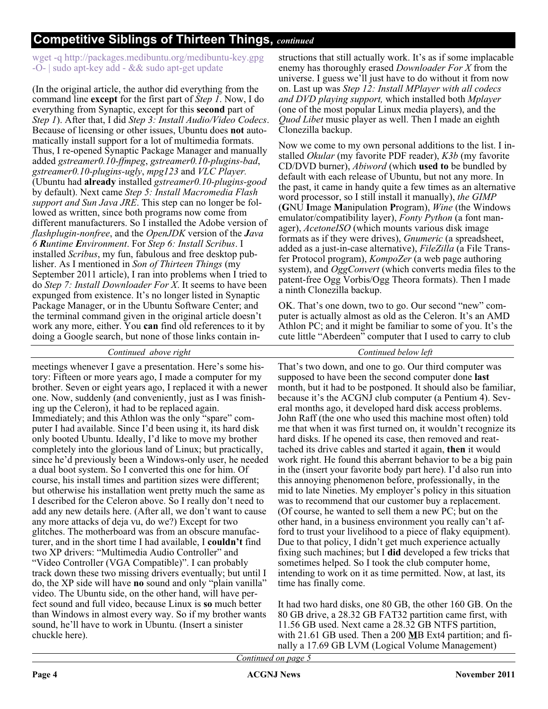# **Competitive Siblings of Thirteen Things,** *continued*

wget -q http://packages.medibuntu.org/medibuntu-key.gpg -O- | sudo apt-key add - && sudo apt-get update

(In the original article, the author did everything from the command line **except** for the first part of *Step 1*. Now, I do everything from Synaptic, except for this **second** part of *Step 1*). After that, I did *Step 3: Install Audio/Video Codecs*. Because of licensing or other issues, Ubuntu does **not** automatically install support for a lot of multimedia formats. Thus, I re-opened Synaptic Package Manager and manually added *gstreamer0.10-ffmpeg*, *gstreamer0.10-plugins-bad*, *gstreamer0.10-plugins-ugly*, *mpg123* and *VLC Player.* (Ubuntu had **already** installed *gstreamer0.10-plugins-good* by default). Next came *Step 5: Install Macromedia Flash support and Sun Java JRE*. This step can no longer be followed as written, since both programs now come from different manufacturers. So I installed the Adobe version of *flashplugin-nonfree*, and the *OpenJDK* version of the *Java 6 Runtime Environment*. For *Step 6: Install Scribus*. I installed *Scribus*, my fun, fabulous and free desktop publisher. As I mentioned in *Son of Thirteen Things* (my September 2011 article), I ran into problems when I tried to do *Step 7: Install Downloader For X*. It seems to have been expunged from existence. It's no longer listed in Synaptic Package Manager, or in the Ubuntu Software Center; and the terminal command given in the original article doesn't work any more, either. You **can** find old references to it by doing a Google search, but none of those links contain instructions that still actually work. It's as if some implacable enemy has thoroughly erased *Downloader For X* from the universe. I guess we'll just have to do without it from now on. Last up was *Step 12: Install MPlayer with all codecs and DVD playing support,* which installed both *Mplayer* (one of the most popular Linux media players), and the *Quod Libet* music player as well. Then I made an eighth Clonezilla backup.

Now we come to my own personal additions to the list. I installed *Okular* (my favorite PDF reader), *K3b* (my favorite CD/DVD burner), *Abiword* (which **used to** be bundled by default with each release of Ubuntu, but not any more. In the past, it came in handy quite a few times as an alternative word processor, so I still install it manually), *the GIMP* (**G**NU **I**mage **M**anipulation **P**rogram), *Wine* (the Windows emulator/compatibility layer), *Fonty Python* (a font manager), *AcetoneISO* (which mounts various disk image formats as if they were drives), *Gnumeric* (a spreadsheet, added as a just-in-case alternative), *FileZilla* (a File Transfer Protocol program), *KompoZer* (a web page authoring system), and *OggConvert* (which converts media files to the patent-free Ogg Vorbis/Ogg Theora formats). Then I made a ninth Clonezilla backup.

OK. That's one down, two to go. Our second "new" computer is actually almost as old as the Celeron. It's an AMD Athlon PC; and it might be familiar to some of you. It's the cute little "Aberdeen" computer that I used to carry to club

*Continued above right Continued below left*

meetings whenever I gave a presentation. Here's some history: Fifteen or more years ago, I made a computer for my brother. Seven or eight years ago, I replaced it with a newer one. Now, suddenly (and conveniently, just as I was finishing up the Celeron), it had to be replaced again. Immediately; and this Athlon was the only "spare" computer I had available. Since I'd been using it, its hard disk only booted Ubuntu. Ideally, I'd like to move my brother completely into the glorious land of Linux; but practically, since he'd previously been a Windows-only user, he needed a dual boot system. So I converted this one for him. Of course, his install times and partition sizes were different; but otherwise his installation went pretty much the same as I described for the Celeron above. So I really don't need to add any new details here. (After all, we don't want to cause any more attacks of deja vu, do we?) Except for two glitches. The motherboard was from an obscure manufacturer, and in the short time I had available, I **couldn't** find two XP drivers: "Multimedia Audio Controller" and "Video Controller (VGA Compatible)". I can probably track down these two missing drivers eventually; but until I do, the XP side will have **no** sound and only "plain vanilla" video. The Ubuntu side, on the other hand, will have perfect sound and full video, because Linux is **so** much better than Windows in almost every way. So if my brother wants sound, he'll have to work in Ubuntu. (Insert a sinister chuckle here).

That's two down, and one to go. Our third computer was supposed to have been the second computer done **last** month, but it had to be postponed. It should also be familiar, because it's the ACGNJ club computer (a Pentium 4). Several months ago, it developed hard disk access problems. John Raff (the one who used this machine most often) told me that when it was first turned on, it wouldn't recognize its hard disks. If he opened its case, then removed and reattached its drive cables and started it again, **then** it would work right. He found this aberrant behavior to be a big pain in the (insert your favorite body part here). I'd also run into this annoying phenomenon before, professionally, in the mid to late Nineties. My employer's policy in this situation was to recommend that our customer buy a replacement. (Of course, he wanted to sell them a new PC; but on the other hand, in a business environment you really can't afford to trust your livelihood to a piece of flaky equipment). Due to that policy, I didn't get much experience actually fixing such machines; but I **did** developed a few tricks that sometimes helped. So I took the club computer home, intending to work on it as time permitted. Now, at last, its time has finally come.

It had two hard disks, one 80 GB, the other 160 GB. On the 80 GB drive, a 28.32 GB FAT32 partition came first, with 11.56 GB used. Next came a 28.32 GB NTFS partition, with 21.61 GB used. Then a 200 **M**B Ext4 partition; and finally a 17.69 GB LVM (Logical Volume Management)

*Continued on page 5*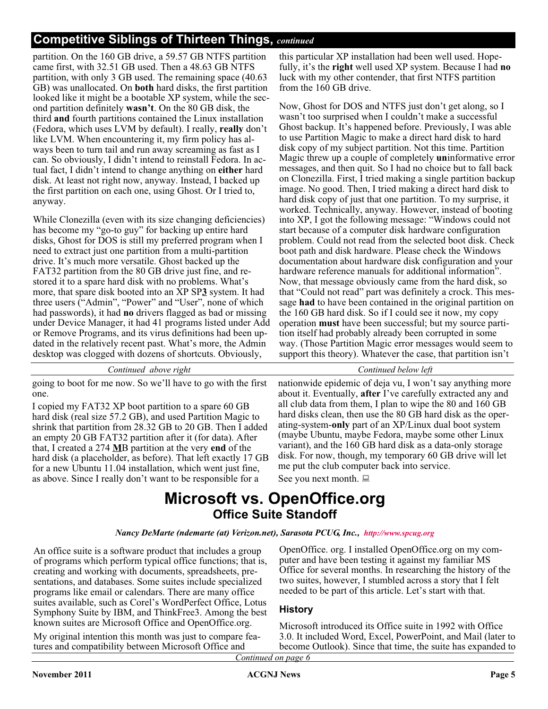# **Competitive Siblings of Thirteen Things,** *continued*

partition. On the 160 GB drive, a 59.57 GB NTFS partition came first, with 32.51 GB used. Then a 48.63 GB NTFS partition, with only 3 GB used. The remaining space (40.63 GB) was unallocated. On **both** hard disks, the first partition looked like it might be a bootable XP system, while the second partition definitely **wasn't**. On the 80 GB disk, the third **and** fourth partitions contained the Linux installation (Fedora, which uses LVM by default). I really, **really** don't like LVM. When encountering it, my firm policy has always been to turn tail and run away screaming as fast as I can. So obviously, I didn't intend to reinstall Fedora. In actual fact, I didn't intend to change anything on **either** hard disk. At least not right now, anyway. Instead, I backed up the first partition on each one, using Ghost. Or I tried to, anyway.

While Clonezilla (even with its size changing deficiencies) has become my "go-to guy" for backing up entire hard disks, Ghost for DOS is still my preferred program when I need to extract just one partition from a multi-partition drive. It's much more versatile. Ghost backed up the FAT32 partition from the 80 GB drive just fine, and restored it to a spare hard disk with no problems. What's more, that spare disk booted into an XP SP**3** system. It had three users ("Admin", "Power" and "User", none of which had passwords), it had **no** drivers flagged as bad or missing under Device Manager, it had 41 programs listed under Add or Remove Programs, and its virus definitions had been updated in the relatively recent past. What's more, the Admin desktop was clogged with dozens of shortcuts. Obviously,

this particular XP installation had been well used. Hopefully, it's the **right** well used XP system. Because I had **no** luck with my other contender, that first NTFS partition from the 160 GB drive.

Now, Ghost for DOS and NTFS just don't get along, so I wasn't too surprised when I couldn't make a successful Ghost backup. It's happened before. Previously, I was able to use Partition Magic to make a direct hard disk to hard disk copy of my subject partition. Not this time. Partition Magic threw up a couple of completely **un**informative error messages, and then quit. So I had no choice but to fall back on Clonezilla. First, I tried making a single partition backup image. No good. Then, I tried making a direct hard disk to hard disk copy of just that one partition. To my surprise, it worked. Technically, anyway. However, instead of booting into XP, I got the following message: "Windows could not start because of a computer disk hardware configuration problem. Could not read from the selected boot disk. Check boot path and disk hardware. Please check the Windows documentation about hardware disk configuration and your hardware reference manuals for additional information". Now, that message obviously came from the hard disk, so that "Could not read" part was definitely a crock. This message **had** to have been contained in the original partition on the 160 GB hard disk. So if I could see it now, my copy operation **must** have been successful; but my source partition itself had probably already been corrupted in some way. (Those Partition Magic error messages would seem to support this theory). Whatever the case, that partition isn't

*Continued above right Continued below left*

going to boot for me now. So we'll have to go with the first one.

I copied my FAT32 XP boot partition to a spare 60 GB hard disk (real size 57.2 GB), and used Partition Magic to shrink that partition from 28.32 GB to 20 GB. Then I added an empty 20 GB FAT32 partition after it (for data). After that, I created a 274 **M**B partition at the very **end** of the hard disk (a placeholder, as before). That left exactly 17 GB for a new Ubuntu 11.04 installation, which went just fine, as above. Since I really don't want to be responsible for a

nationwide epidemic of deja vu, I won't say anything more about it. Eventually, **after** I've carefully extracted any and all club data from them, I plan to wipe the 80 and 160 GB hard disks clean, then use the 80 GB hard disk as the operating-system-**only** part of an XP/Linux dual boot system (maybe Ubuntu, maybe Fedora, maybe some other Linux variant), and the 160 GB hard disk as a data-only storage disk. For now, though, my temporary 60 GB drive will let me put the club computer back into service.

See you next month.

# **Microsoft vs. OpenOffice.org Office Suite Standoff**

#### *Nancy DeMarte (ndemarte (at) Verizon.net), Sarasota PCUG, Inc., [http://www.spcug.org]( http://www.spcug.org)*

An office suite is a software product that includes a group of programs which perform typical office functions; that is, creating and working with documents, spreadsheets, presentations, and databases. Some suites include specialized programs like email or calendars. There are many office suites available, such as Corel's WordPerfect Office, Lotus Symphony Suite by IBM, and ThinkFree3. Among the best known suites are Microsoft Office and OpenOffice.org.

My original intention this month was just to compare features and compatibility between Microsoft Office and

OpenOffice. org. I installed OpenOffice.org on my computer and have been testing it against my familiar MS Office for several months. In researching the history of the two suites, however, I stumbled across a story that I felt needed to be part of this article. Let's start with that.

### **History**

Microsoft introduced its Office suite in 1992 with Office 3.0. It included Word, Excel, PowerPoint, and Mail (later to become Outlook). Since that time, the suite has expanded to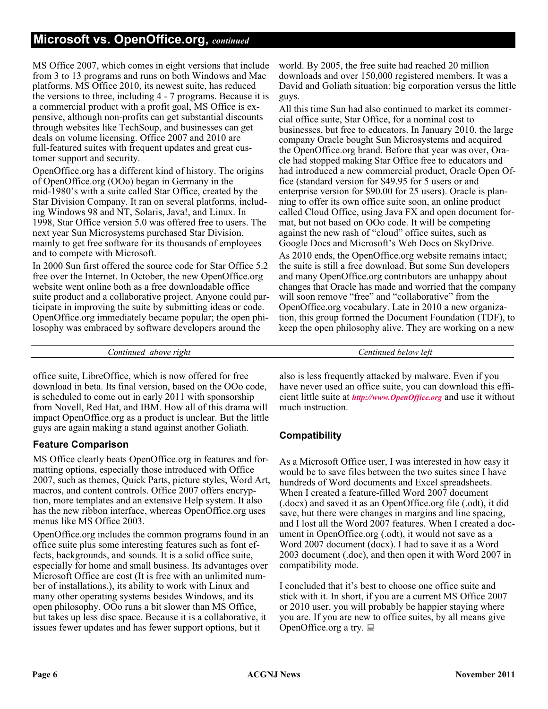# **Microsoft vs. OpenOffice.org,** *continued*

MS Office 2007, which comes in eight versions that include from 3 to 13 programs and runs on both Windows and Mac platforms. MS Office 2010, its newest suite, has reduced the versions to three, including 4 - 7 programs. Because it is a commercial product with a profit goal, MS Office is expensive, although non-profits can get substantial discounts through websites like TechSoup, and businesses can get deals on volume licensing. Office 2007 and 2010 are full-featured suites with frequent updates and great customer support and security.

OpenOffice.org has a different kind of history. The origins of OpenOffice.org (OOo) began in Germany in the mid-1980's with a suite called Star Office, created by the Star Division Company. It ran on several platforms, including Windows 98 and NT, Solaris, Java!, and Linux. In 1998, Star Office version 5.0 was offered free to users. The next year Sun Microsystems purchased Star Division, mainly to get free software for its thousands of employees and to compete with Microsoft.

In 2000 Sun first offered the source code for Star Office 5.2 free over the Internet. In October, the new OpenOffice.org website went online both as a free downloadable office suite product and a collaborative project. Anyone could participate in improving the suite by submitting ideas or code. OpenOffice.org immediately became popular; the open philosophy was embraced by software developers around the

world. By 2005, the free suite had reached 20 million downloads and over 150,000 registered members. It was a David and Goliath situation: big corporation versus the little guys.

All this time Sun had also continued to market its commercial office suite, Star Office, for a nominal cost to businesses, but free to educators. In January 2010, the large company Oracle bought Sun Microsystems and acquired the OpenOffice.org brand. Before that year was over, Oracle had stopped making Star Office free to educators and had introduced a new commercial product, Oracle Open Office (standard version for \$49.95 for 5 users or and enterprise version for \$90.00 for 25 users). Oracle is planning to offer its own office suite soon, an online product called Cloud Office, using Java FX and open document format, but not based on OOo code. It will be competing against the new rash of "cloud" office suites, such as Google Docs and Microsoft's Web Docs on SkyDrive.

As 2010 ends, the OpenOffice.org website remains intact; the suite is still a free download. But some Sun developers and many OpenOffice.org contributors are unhappy about changes that Oracle has made and worried that the company will soon remove "free" and "collaborative" from the OpenOffice.org vocabulary. Late in 2010 a new organization, this group formed the Document Foundation (TDF), to keep the open philosophy alive. They are working on a new

*Continued above right Centinued below left*

office suite, LibreOffice, which is now offered for free download in beta. Its final version, based on the OOo code, is scheduled to come out in early 2011 with sponsorship from Novell, Red Hat, and IBM. How all of this drama will impact OpenOffice.org as a product is unclear. But the little guys are again making a stand against another Goliath.

### **Feature Comparison**

MS Office clearly beats OpenOffice.org in features and formatting options, especially those introduced with Office 2007, such as themes, Quick Parts, picture styles, Word Art, macros, and content controls. Office 2007 offers encryption, more templates and an extensive Help system. It also has the new ribbon interface, whereas OpenOffice.org uses menus like MS Office 2003.

OpenOffice.org includes the common programs found in an office suite plus some interesting features such as font effects, backgrounds, and sounds. It is a solid office suite, especially for home and small business. Its advantages over Microsoft Office are cost (It is free with an unlimited number of installations.), its ability to work with Linux and many other operating systems besides Windows, and its open philosophy. OOo runs a bit slower than MS Office, but takes up less disc space. Because it is a collaborative, it issues fewer updates and has fewer support options, but it

also is less frequently attacked by malware. Even if you have never used an office suite, you can download this efficient little suite at *<http://www.OpenOffice.org>* and use it without much instruction.

## **Compatibility**

As a Microsoft Office user, I was interested in how easy it would be to save files between the two suites since I have hundreds of Word documents and Excel spreadsheets. When I created a feature-filled Word 2007 document (.docx) and saved it as an OpenOffice.org file (.odt), it did save, but there were changes in margins and line spacing, and I lost all the Word 2007 features. When I created a document in OpenOffice.org (.odt), it would not save as a Word 2007 document (docx). I had to save it as a Word 2003 document (.doc), and then open it with Word 2007 in compatibility mode.

I concluded that it's best to choose one office suite and stick with it. In short, if you are a current MS Office 2007 or 2010 user, you will probably be happier staying where you are. If you are new to office suites, by all means give OpenOffice.org a try.  $\Box$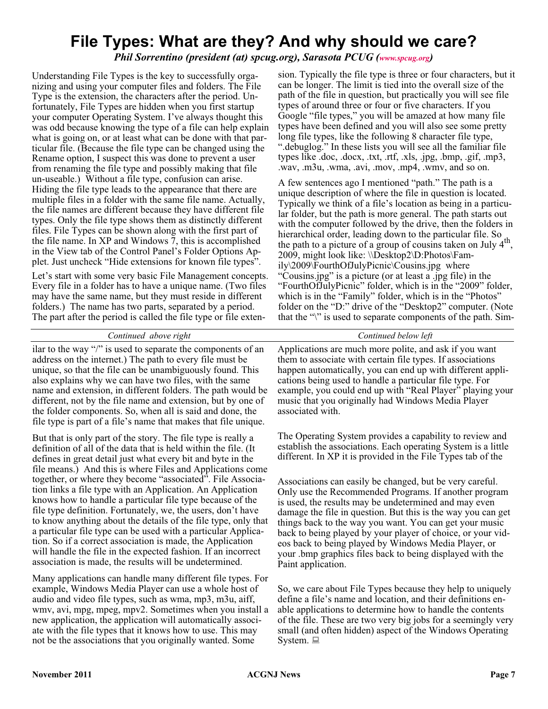# **File Types: What are they? And why should we care?**

*Phil Sorrentino (president (at) spcug.org), Sarasota PCUG [\(www.spcug.org](http://www.spcug.org))* 

Understanding File Types is the key to successfully organizing and using your computer files and folders. The File Type is the extension, the characters after the period. Unfortunately, File Types are hidden when you first startup your computer Operating System. I've always thought this was odd because knowing the type of a file can help explain what is going on, or at least what can be done with that particular file. (Because the file type can be changed using the Rename option, I suspect this was done to prevent a user from renaming the file type and possibly making that file un-useable.) Without a file type, confusion can arise. Hiding the file type leads to the appearance that there are multiple files in a folder with the same file name. Actually, the file names are different because they have different file types. Only the file type shows them as distinctly different files. File Types can be shown along with the first part of the file name. In XP and Windows 7, this is accomplished in the View tab of the Control Panel's Folder Options Applet. Just uncheck "Hide extensions for known file types".

Let's start with some very basic File Management concepts. Every file in a folder has to have a unique name. (Two files may have the same name, but they must reside in different folders.) The name has two parts, separated by a period. The part after the period is called the file type or file extension. Typically the file type is three or four characters, but it can be longer. The limit is tied into the overall size of the path of the file in question, but practically you will see file types of around three or four or five characters. If you Google "file types," you will be amazed at how many file types have been defined and you will also see some pretty long file types, like the following 8 character file type, ".debuglog." In these lists you will see all the familiar file types like .doc, .docx, .txt, .rtf, .xls, .jpg, .bmp, .gif, .mp3, .wav, .m3u, .wma, .avi, .mov, .mp4, .wmv, and so on.

A few sentences ago I mentioned "path." The path is a unique description of where the file in question is located. Typically we think of a file's location as being in a particular folder, but the path is more general. The path starts out with the computer followed by the drive, then the folders in hierarchical order, leading down to the particular file. So the path to a picture of a group of cousins taken on July  $4<sup>th</sup>$ , 2009, might look like: \\Desktop2\D:Photos\Family\2009\FourthOfJulyPicnic\Cousins.jpg where "Cousins.jpg" is a picture (or at least a .jpg file) in the "FourthOfJulyPicnic" folder, which is in the "2009" folder, which is in the "Family" folder, which is in the "Photos" folder on the "D:" drive of the "Desktop2" computer. (Note that the "\" is used to separate components of the path. Sim-

#### *Continued above right Continued below left*

ilar to the way "/" is used to separate the components of an address on the internet.) The path to every file must be unique, so that the file can be unambiguously found. This also explains why we can have two files, with the same name and extension, in different folders. The path would be different, not by the file name and extension, but by one of the folder components. So, when all is said and done, the file type is part of a file's name that makes that file unique.

But that is only part of the story. The file type is really a definition of all of the data that is held within the file. (It defines in great detail just what every bit and byte in the file means.) And this is where Files and Applications come together, or where they become "associated". File Association links a file type with an Application. An Application knows how to handle a particular file type because of the file type definition. Fortunately, we, the users, don't have to know anything about the details of the file type, only that a particular file type can be used with a particular Application. So if a correct association is made, the Application will handle the file in the expected fashion. If an incorrect association is made, the results will be undetermined.

Many applications can handle many different file types. For example, Windows Media Player can use a whole host of audio and video file types, such as wma, mp3, m3u, aiff, wmv, avi, mpg, mpeg, mpv2. Sometimes when you install a new application, the application will automatically associate with the file types that it knows how to use. This may not be the associations that you originally wanted. Some

Applications are much more polite, and ask if you want them to associate with certain file types. If associations happen automatically, you can end up with different applications being used to handle a particular file type. For example, you could end up with "Real Player" playing your music that you originally had Windows Media Player associated with.

The Operating System provides a capability to review and establish the associations. Each operating System is a little different. In XP it is provided in the File Types tab of the

Associations can easily be changed, but be very careful. Only use the Recommended Programs. If another program is used, the results may be undetermined and may even damage the file in question. But this is the way you can get things back to the way you want. You can get your music back to being played by your player of choice, or your videos back to being played by Windows Media Player, or your .bmp graphics files back to being displayed with the Paint application.

So, we care about File Types because they help to uniquely define a file's name and location, and their definitions enable applications to determine how to handle the contents of the file. These are two very big jobs for a seemingly very small (and often hidden) aspect of the Windows Operating System.  $\Box$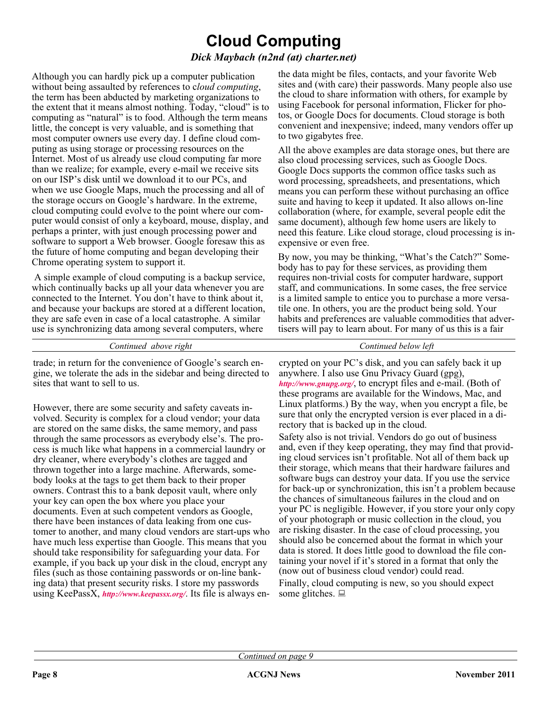# **Cloud Computing**

### *Dick Maybach (n2nd (at) charter.net)*

Although you can hardly pick up a computer publication without being assaulted by references to c*loud computing*, the term has been abducted by marketing organizations to the extent that it means almost nothing. Today, "cloud" is to computing as "natural" is to food. Although the term means little, the concept is very valuable, and is something that most computer owners use every day. I define cloud computing as using storage or processing resources on the Internet. Most of us already use cloud computing far more than we realize; for example, every e-mail we receive sits on our ISP's disk until we download it to our PCs, and when we use Google Maps, much the processing and all of the storage occurs on Google's hardware. In the extreme, cloud computing could evolve to the point where our computer would consist of only a keyboard, mouse, display, and perhaps a printer, with just enough processing power and software to support a Web browser. Google foresaw this as the future of home computing and began developing their Chrome operating system to support it.

A simple example of cloud computing is a backup service, which continually backs up all your data whenever you are connected to the Internet. You don't have to think about it, and because your backups are stored at a different location, they are safe even in case of a local catastrophe. A similar use is synchronizing data among several computers, where

dry cleaner, where everybody's clothes are tagged and thrown together into a large machine. Afterwards, somebody looks at the tags to get them back to their proper owners. Contrast this to a bank deposit vault, where only

your key can open the box where you place your documents. Even at such competent vendors as Google, there have been instances of data leaking from one customer to another, and many cloud vendors are start-ups who have much less expertise than Google. This means that you should take responsibility for safeguarding your data. For example, if you back up your disk in the cloud, encrypt any files (such as those containing passwords or on-line banking data) that present security risks. I store my passwords using KeePassX, *<http://www.keepassx.org/>*. Its file is always enthe data might be files, contacts, and your favorite Web sites and (with care) their passwords. Many people also use the cloud to share information with others, for example by using Facebook for personal information, Flicker for photos, or Google Docs for documents. Cloud storage is both convenient and inexpensive; indeed, many vendors offer up to two gigabytes free.

All the above examples are data storage ones, but there are also cloud processing services, such as Google Docs. Google Docs supports the common office tasks such as word processing, spreadsheets, and presentations, which means you can perform these without purchasing an office suite and having to keep it updated. It also allows on-line collaboration (where, for example, several people edit the same document), although few home users are likely to need this feature. Like cloud storage, cloud processing is inexpensive or even free.

By now, you may be thinking, "What's the Catch?" Somebody has to pay for these services, as providing them requires non-trivial costs for computer hardware, support staff, and communications. In some cases, the free service is a limited sample to entice you to purchase a more versatile one. In others, you are the product being sold. Your habits and preferences are valuable commodities that advertisers will pay to learn about. For many of us this is a fair

| Continued above right                                                                                                                                                                                                                                                                                     | Continued below left                                                                                                                                                                                                                                                                              |
|-----------------------------------------------------------------------------------------------------------------------------------------------------------------------------------------------------------------------------------------------------------------------------------------------------------|---------------------------------------------------------------------------------------------------------------------------------------------------------------------------------------------------------------------------------------------------------------------------------------------------|
| trade; in return for the convenience of Google's search en-<br>gine, we tolerate the ads in the sidebar and being directed to<br>sites that want to sell to us.                                                                                                                                           | crypted on your PC's disk, and you can safely back it up<br>anywhere. I also use Gnu Privacy Guard (gpg),<br>http://www.gnupg.org/, to encrypt files and e-mail. (Both of<br>these programs are available for the Windows, Mac, and                                                               |
| However, there are some security and safety caveats in-<br>volved. Security is complex for a cloud vendor; your data<br>are stored on the same disks, the same memory, and pass<br>through the same processors as everybody else's. The pro-<br>cess is much like what happens in a commercial laundry or | Linux platforms.) By the way, when you encrypt a file, be<br>sure that only the encrypted version is ever placed in a di-<br>rectory that is backed up in the cloud.<br>Safety also is not trivial. Vendors do go out of business<br>and, even if they keep operating, they may find that provid- |

and, even if they keep operating, they may find that providing cloud services isn't profitable. Not all of them back up their storage, which means that their hardware failures and software bugs can destroy your data. If you use the service for back-up or synchronization, this isn't a problem because the chances of simultaneous failures in the cloud and on your PC is negligible. However, if you store your only copy of your photograph or music collection in the cloud, you are risking disaster. In the case of cloud processing, you should also be concerned about the format in which your data is stored. It does little good to download the file containing your novel if it's stored in a format that only the (now out of business cloud vendor) could read.

Finally, cloud computing is new, so you should expect some glitches.  $\Box$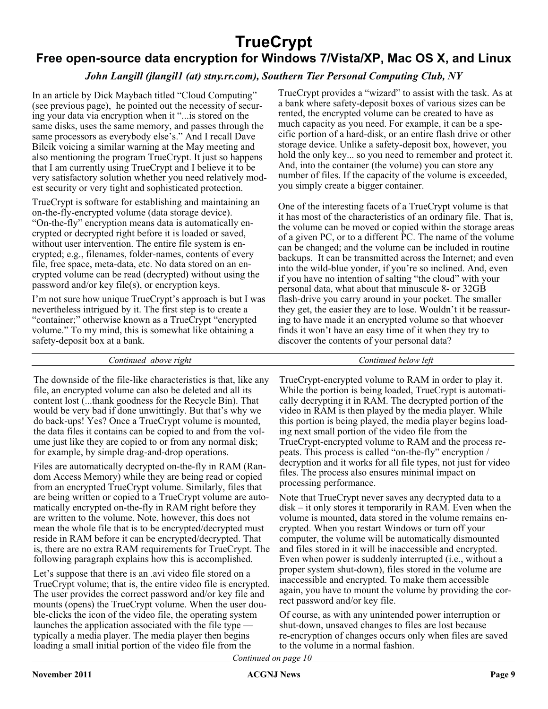# **TrueCrypt**

# **Free open-source data encryption for Windows 7/Vista/XP, Mac OS X, and Linux**

# *John Langill (jlangil1 (at) stny.rr.com), Southern Tier Personal Computing Club, NY*

In an article by Dick Maybach titled "Cloud Computing" (see previous page), he pointed out the necessity of securing your data via encryption when it "...is stored on the same disks, uses the same memory, and passes through the same processors as everybody else's." And I recall Dave Bilcik voicing a similar warning at the May meeting and also mentioning the program TrueCrypt. It just so happens that I am currently using TrueCrypt and I believe it to be very satisfactory solution whether you need relatively modest security or very tight and sophisticated protection.

TrueCrypt is software for establishing and maintaining an on-the-fly-encrypted volume (data storage device). "On-the-fly" encryption means data is automatically encrypted or decrypted right before it is loaded or saved, without user intervention. The entire file system is encrypted; e.g., filenames, folder-names, contents of every file, free space, meta-data, etc. No data stored on an encrypted volume can be read (decrypted) without using the password and/or key file(s), or encryption keys.

I'm not sure how unique TrueCrypt's approach is but I was nevertheless intrigued by it. The first step is to create a "container;" otherwise known as a TrueCrypt "encrypted volume." To my mind, this is somewhat like obtaining a safety-deposit box at a bank.

TrueCrypt provides a "wizard" to assist with the task. As at a bank where safety-deposit boxes of various sizes can be rented, the encrypted volume can be created to have as much capacity as you need. For example, it can be a specific portion of a hard-disk, or an entire flash drive or other storage device. Unlike a safety-deposit box, however, you hold the only key... so you need to remember and protect it. And, into the container (the volume) you can store any number of files. If the capacity of the volume is exceeded, you simply create a bigger container.

One of the interesting facets of a TrueCrypt volume is that it has most of the characteristics of an ordinary file. That is, the volume can be moved or copied within the storage areas of a given PC, or to a different PC. The name of the volume can be changed; and the volume can be included in routine backups. It can be transmitted across the Internet; and even into the wild-blue yonder, if you're so inclined. And, even if you have no intention of salting "the cloud" with your personal data, what about that minuscule 8- or 32GB flash-drive you carry around in your pocket. The smaller they get, the easier they are to lose. Wouldn't it be reassuring to have made it an encrypted volume so that whoever finds it won't have an easy time of it when they try to discover the contents of your personal data?

*Continued above right Continued below left*

The downside of the file-like characteristics is that, like any file, an encrypted volume can also be deleted and all its content lost (...thank goodness for the Recycle Bin). That would be very bad if done unwittingly. But that's why we do back-ups! Yes? Once a TrueCrypt volume is mounted, the data files it contains can be copied to and from the volume just like they are copied to or from any normal disk; for example, by simple drag-and-drop operations.

Files are automatically decrypted on-the-fly in RAM (Random Access Memory) while they are being read or copied from an encrypted TrueCrypt volume. Similarly, files that are being written or copied to a TrueCrypt volume are automatically encrypted on-the-fly in RAM right before they are written to the volume. Note, however, this does not mean the whole file that is to be encrypted/decrypted must reside in RAM before it can be encrypted/decrypted. That is, there are no extra RAM requirements for TrueCrypt. The following paragraph explains how this is accomplished.

Let's suppose that there is an .avi video file stored on a TrueCrypt volume; that is, the entire video file is encrypted. The user provides the correct password and/or key file and mounts (opens) the TrueCrypt volume. When the user double-clicks the icon of the video file, the operating system launches the application associated with the file type typically a media player. The media player then begins loading a small initial portion of the video file from the

TrueCrypt-encrypted volume to RAM in order to play it. While the portion is being loaded, TrueCrypt is automatically decrypting it in RAM. The decrypted portion of the video in RAM is then played by the media player. While this portion is being played, the media player begins loading next small portion of the video file from the TrueCrypt-encrypted volume to RAM and the process repeats. This process is called "on-the-fly" encryption / decryption and it works for all file types, not just for video files. The process also ensures minimal impact on processing performance.

Note that TrueCrypt never saves any decrypted data to a disk – it only stores it temporarily in RAM. Even when the volume is mounted, data stored in the volume remains encrypted. When you restart Windows or turn off your computer, the volume will be automatically dismounted and files stored in it will be inaccessible and encrypted. Even when power is suddenly interrupted (i.e., without a proper system shut-down), files stored in the volume are inaccessible and encrypted. To make them accessible again, you have to mount the volume by providing the correct password and/or key file.

Of course, as with any unintended power interruption or shut-down, unsaved changes to files are lost because re-encryption of changes occurs only when files are saved to the volume in a normal fashion.

*Continued on page 10*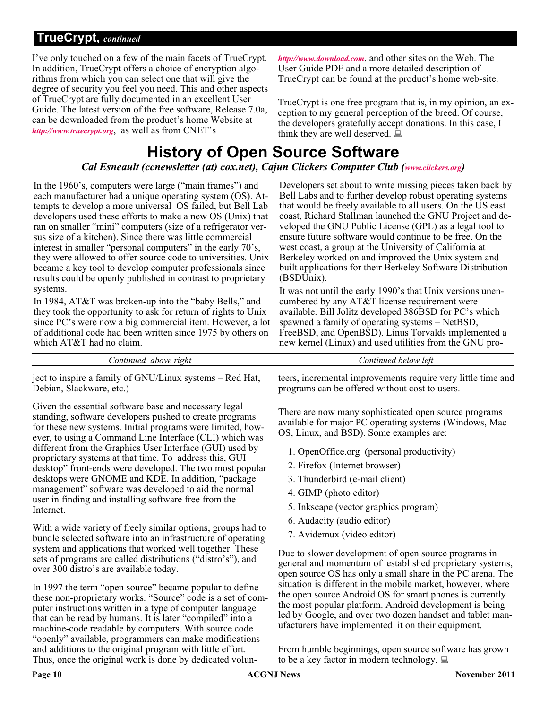# **TrueCrypt,** *continued*

I've only touched on a few of the main facets of TrueCrypt. In addition, TrueCrypt offers a choice of encryption algorithms from which you can select one that will give the degree of security you feel you need. This and other aspects of TrueCrypt are fully documented in an excellent User Guide. The latest version of the free software, Release 7.0a, can be downloaded from the product's home Website at *<http://www.truecrypt.org>*, as well as from CNET's

*<http://www.download.com>*, and other sites on the Web. The User Guide PDF and a more detailed description of TrueCrypt can be found at the product's home web-site.

TrueCrypt is one free program that is, in my opinion, an exception to my general perception of the breed. Of course, the developers gratefully accept donations. In this case, I think they are well deserved.  $\Box$ 

# **History of Open Source Software** *Cal Esneault (ccnewsletter (at) cox.net), Cajun Clickers Computer Club ([www.clickers.org\)](http://www.clickers.org)*

In the 1960's, computers were large ("main frames") and each manufacturer had a unique operating system (OS). Attempts to develop a more universal OS failed, but Bell Lab developers used these efforts to make a new OS (Unix) that ran on smaller "mini" computers (size of a refrigerator versus size of a kitchen). Since there was little commercial interest in smaller "personal computers" in the early 70's, they were allowed to offer source code to universities. Unix became a key tool to develop computer professionals since results could be openly published in contrast to proprietary systems.

In 1984, AT&T was broken-up into the "baby Bells," and they took the opportunity to ask for return of rights to Unix since PC's were now a big commercial item. However, a lot of additional code had been written since 1975 by others on which AT&T had no claim.

Developers set about to write missing pieces taken back by Bell Labs and to further develop robust operating systems that would be freely available to all users. On the US east coast, Richard Stallman launched the GNU Project and developed the GNU Public License (GPL) as a legal tool to ensure future software would continue to be free. On the west coast, a group at the University of California at Berkeley worked on and improved the Unix system and built applications for their Berkeley Software Distribution (BSDUnix).

It was not until the early 1990's that Unix versions unencumbered by any AT&T license requirement were available. Bill Jolitz developed 386BSD for PC's which spawned a family of operating systems – NetBSD, FreeBSD, and OpenBSD). Linus Torvalds implemented a new kernel (Linux) and used utilities from the GNU pro-

*Continued above right Continued below left*

ject to inspire a family of GNU/Linux systems – Red Hat, Debian, Slackware, etc.)

Given the essential software base and necessary legal standing, software developers pushed to create programs for these new systems. Initial programs were limited, however, to using a Command Line Interface (CLI) which was different from the Graphics User Interface (GUI) used by proprietary systems at that time. To address this, GUI desktop" front-ends were developed. The two most popular desktops were GNOME and KDE. In addition, "package management" software was developed to aid the normal user in finding and installing software free from the Internet.

With a wide variety of freely similar options, groups had to bundle selected software into an infrastructure of operating system and applications that worked well together. These sets of programs are called distributions ("distro's"), and over 300 distro's are available today.

In 1997 the term "open source" became popular to define these non-proprietary works. "Source" code is a set of computer instructions written in a type of computer language that can be read by humans. It is later "compiled" into a machine-code readable by computers. With source code "openly" available, programmers can make modifications and additions to the original program with little effort. Thus, once the original work is done by dedicated volunteers, incremental improvements require very little time and programs can be offered without cost to users.

There are now many sophisticated open source programs available for major PC operating systems (Windows, Mac OS, Linux, and BSD). Some examples are:

- 1. OpenOffice.org (personal productivity)
- 2. Firefox (Internet browser)
- 3. Thunderbird (e-mail client)
- 4. GIMP (photo editor)
- 5. Inkscape (vector graphics program)
- 6. Audacity (audio editor)
- 7. Avidemux (video editor)

Due to slower development of open source programs in general and momentum of established proprietary systems, open source OS has only a small share in the PC arena. The situation is different in the mobile market, however, where the open source Android OS for smart phones is currently the most popular platform. Android development is being led by Google, and over two dozen handset and tablet manufacturers have implemented it on their equipment.

From humble beginnings, open source software has grown to be a key factor in modern technology.  $\Box$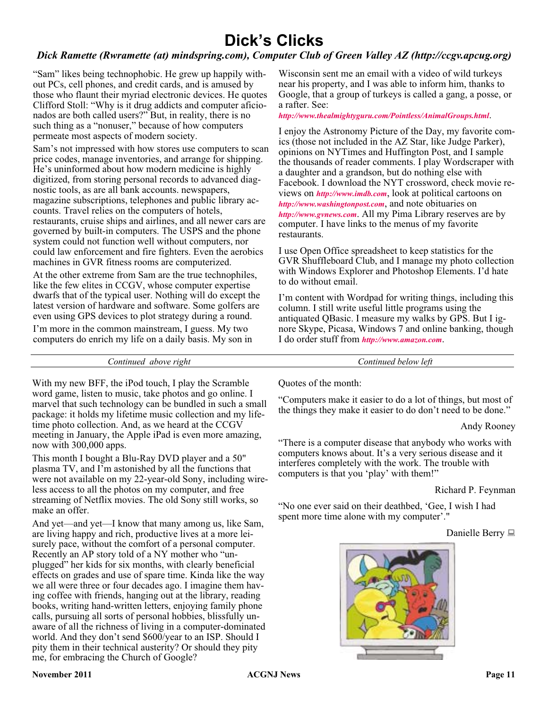# **Dick's Clicks**

### *Dick Ramette (Rwramette (at) mindspring.com), Computer Club of Green Valley AZ (http://ccgv.apcug.org)*

"Sam" likes being technophobic. He grew up happily without PCs, cell phones, and credit cards, and is amused by those who flaunt their myriad electronic devices. He quotes Clifford Stoll: "Why is it drug addicts and computer aficionados are both called users?" But, in reality, there is no such thing as a "nonuser," because of how computers permeate most aspects of modern society.

Sam's not impressed with how stores use computers to scan price codes, manage inventories, and arrange for shipping. He's uninformed about how modern medicine is highly digitized, from storing personal records to advanced diagnostic tools, as are all bank accounts. newspapers, magazine subscriptions, telephones and public library accounts. Travel relies on the computers of hotels, restaurants, cruise ships and airlines, and all newer cars are governed by built-in computers. The USPS and the phone system could not function well without computers, nor could law enforcement and fire fighters. Even the aerobics machines in GVR fitness rooms are computerized.

At the other extreme from Sam are the true technophiles, like the few elites in CCGV, whose computer expertise dwarfs that of the typical user. Nothing will do except the latest version of hardware and software. Some golfers are even using GPS devices to plot strategy during a round. I'm more in the common mainstream, I guess. My two computers do enrich my life on a daily basis. My son in

Wisconsin sent me an email with a video of wild turkeys near his property, and I was able to inform him, thanks to Google, that a group of turkeys is called a gang, a posse, or a rafter. See:

#### *<http://www.thealmightyguru.com/Pointless/AnimalGroups.html>*.

I enjoy the Astronomy Picture of the Day, my favorite comics (those not included in the AZ Star, like Judge Parker), opinions on NYTimes and Huffington Post, and I sample the thousands of reader comments. I play Wordscraper with a daughter and a grandson, but do nothing else with Facebook. I download the NYT crossword, check movie reviews on *<http://www.imdb.com>*, look at political cartoons on *<http://www.washingtonpost.com>*, and note obituaries on *<http://www.gvnews.com>*. All my Pima Library reserves are by computer. I have links to the menus of my favorite restaurants.

I use Open Office spreadsheet to keep statistics for the GVR Shuffleboard Club, and I manage my photo collection with Windows Explorer and Photoshop Elements. I'd hate to do without email.

I'm content with Wordpad for writing things, including this column. I still write useful little programs using the antiquated QBasic. I measure my walks by GPS. But I ignore Skype, Picasa, Windows 7 and online banking, though I do order stuff from *<http://www.amazon.com>*.

*Continued above right Continued below left*

With my new BFF, the iPod touch, I play the Scramble word game, listen to music, take photos and go online. I marvel that such technology can be bundled in such a small package: it holds my lifetime music collection and my lifetime photo collection. And, as we heard at the CCGV meeting in January, the Apple iPad is even more amazing, now with 300,000 apps.

This month I bought a Blu-Ray DVD player and a 50" plasma TV, and I'm astonished by all the functions that were not available on my 22-year-old Sony, including wireless access to all the photos on my computer, and free streaming of Netflix movies. The old Sony still works, so make an offer.

And yet—and yet—I know that many among us, like Sam, are living happy and rich, productive lives at a more leisurely pace, without the comfort of a personal computer. Recently an AP story told of a NY mother who "unplugged" her kids for six months, with clearly beneficial effects on grades and use of spare time. Kinda like the way we all were three or four decades ago. I imagine them having coffee with friends, hanging out at the library, reading books, writing hand-written letters, enjoying family phone calls, pursuing all sorts of personal hobbies, blissfully unaware of all the richness of living in a computer-dominated world. And they don't send \$600/year to an ISP. Should I pity them in their technical austerity? Or should they pity me, for embracing the Church of Google?

Quotes of the month:

"Computers make it easier to do a lot of things, but most of the things they make it easier to do don't need to be done."

Andy Rooney

"There is a computer disease that anybody who works with computers knows about. It's a very serious disease and it interferes completely with the work. The trouble with computers is that you 'play' with them!"

Richard P. Feynman

"No one ever said on their deathbed, 'Gee, I wish I had spent more time alone with my computer'."

Danielle Berry

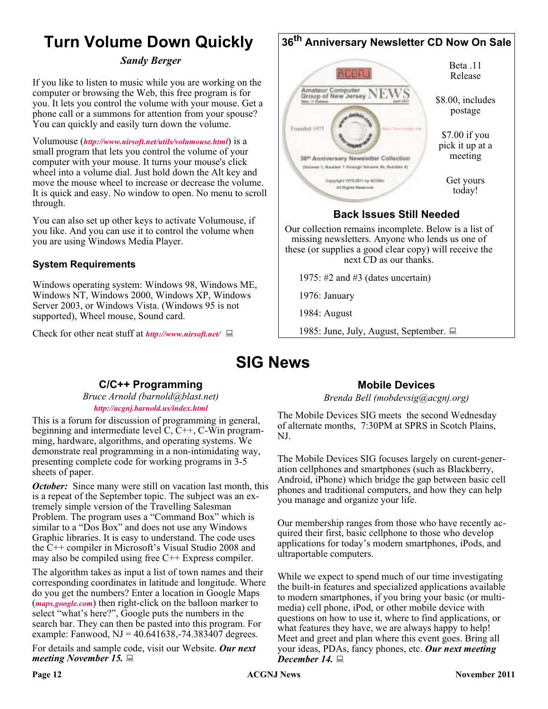# **Turn Volume Down Quickly**

### *Sandy Berger*

If you like to listen to music while you are working on the computer or browsing the Web, this free program is for you. It lets you control the volume with your mouse. Get a phone call or a summons for attention from your spouse? You can quickly and easily turn down the volume.

Volumouse (*<http://www.nirsoft.net/utils/volumouse.html>*) is a small program that lets you control the volume of your computer with your mouse. It turns your mouse's click wheel into a volume dial. Just hold down the Alt key and move the mouse wheel to increase or decrease the volume. It is quick and easy. No window to open. No menu to scroll through.

You can also set up other keys to activate Volumouse, if you like. And you can use it to control the volume when you are using Windows Media Player.

## **System Requirements**

Windows operating system: Windows 98, Windows ME, Windows NT, Windows 2000, Windows XP, Windows Server 2003, or Windows Vista. (Windows 95 is not supported), Wheel mouse, Sound card.

Check for other neat stuff at *<http://www.nirsoft.net/>*



# **Back Issues Still Needed**

Our collection remains incomplete. Below is a list of missing newsletters. Anyone who lends us one of these (or supplies a good clear copy) will receive the next CD as our thanks.

1975: #2 and #3 (dates uncertain)

1976: January

1984: August

1985: June, July, August, September.

# **SIG News**

## **C/C++ Programming**

*Bruce Arnold (barnold@blast.net) <http://acgnj.barnold.us/index.html>*

This is a forum for discussion of programming in general, beginning and intermediate level C, C++, C-Win programming, hardware, algorithms, and operating systems. We demonstrate real programming in a non-intimidating way, presenting complete code for working programs in 3-5 sheets of paper.

*October:* Since many were still on vacation last month, this is a repeat of the September topic. The subject was an extremely simple version of the Travelling Salesman Problem. The program uses a "Command Box" which is similar to a "Dos Box" and does not use any Windows Graphic libraries. It is easy to understand. The code uses the C++ compiler in Microsoft's Visual Studio 2008 and may also be compiled using free  $C++$  Express compiler.

The algorithm takes as input a list of town names and their corresponding coordinates in latitude and longitude. Where do you get the numbers? Enter a location in Google Maps (*[maps.google.com](http://maps.google.com)*) then right-click on the balloon marker to select "what's here?", Google puts the numbers in the search bar. They can then be pasted into this program. For example: Fanwood,  $NJ = 40.641638, -74.383407$  degrees.

For details and sample code, visit our Website. *Our next meeting November 15.*

## **Mobile Devices**

*Brenda Bell (mobdevsig@acgnj.org)*

The Mobile Devices SIG meets the second Wednesday of alternate months, 7:30PM at SPRS in Scotch Plains, NJ.

The Mobile Devices SIG focuses largely on curent-generation cellphones and smartphones (such as Blackberry, Android, iPhone) which bridge the gap between basic cell phones and traditional computers, and how they can help you manage and organize your life.

Our membership ranges from those who have recently acquired their first, basic cellphone to those who develop applications for today's modern smartphones, iPods, and ultraportable computers.

While we expect to spend much of our time investigating the built-in features and specialized applications available to modern smartphones, if you bring your basic (or multimedia) cell phone, iPod, or other mobile device with questions on how to use it, where to find applications, or what features they have, we are always happy to help! Meet and greet and plan where this event goes. Bring all your ideas, PDAs, fancy phones, etc. *Our next meeting December 14.*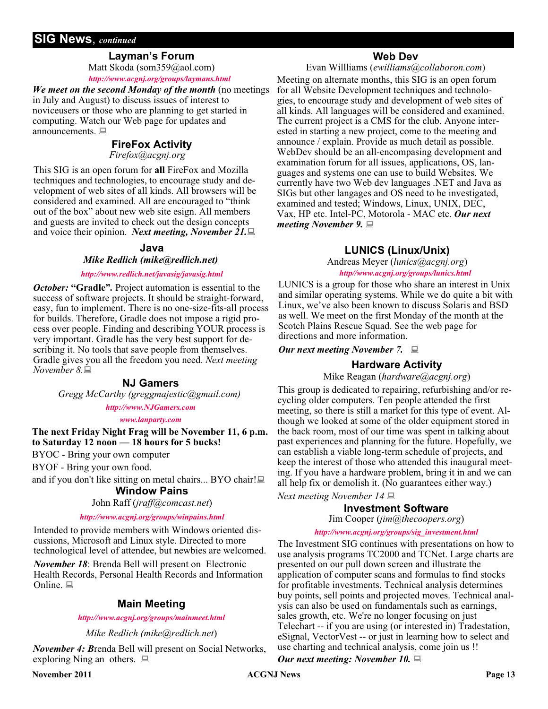# **SIG News**, *continued*

#### **Layman's Forum**

Matt Skoda (som359@aol.com) *<http://www.acgnj.org/groups/laymans.html>*

*We meet on the second Monday of the month* (no meetings in July and August) to discuss issues of interest to noviceusers or those who are planning to get started in computing. Watch our Web page for updates and announcements.

### **FireFox Activity**

#### *Firefox@acgnj.org*

This SIG is an open forum for **all** FireFox and Mozilla techniques and technologies, to encourage study and development of web sites of all kinds. All browsers will be considered and examined. All are encouraged to "think out of the box" about new web site esign. All members and guests are invited to check out the design concepts and voice their opinion. *Next meeting, November 21.*

#### **Java**

#### *Mike Redlich (mike@redlich.net)*

#### *<http://www.redlich.net/javasig/javasig.html>*

*October:* **"Gradle"***.* Project automation is essential to the success of software projects. It should be straight-forward, easy, fun to implement. There is no one-size-fits-all process for builds. Therefore, Gradle does not impose a rigid process over people. Finding and describing YOUR process is very important. Gradle has the very best support for describing it. No tools that save people from themselves. Gradle gives you all the freedom you need. *Next meeting November 8.*

#### **NJ Gamers**

*Gregg McCarthy (greggmajestic@gmail.com)*

#### *<http://www.NJGamers.com>*

#### *[www.lanparty.com](http://www.lanparty.com)*

**The next Friday Night Frag will be November 11, 6 p.m. to Saturday 12 noon — 18 hours for 5 bucks!**

BYOC - Bring your own computer

BYOF - Bring your own food.

and if you don't like sitting on metal chairs... BYO chair! $\Box$ 

# **Window Pains**

## John Raff (*jraff@comcast.net*)

#### *<http://www.acgnj.org/groups/winpains.html>*

Intended to provide members with Windows oriented discussions, Microsoft and Linux style. Directed to more technological level of attendee, but newbies are welcomed.

*November 18*: Brenda Bell will present on Electronic Health Records, Personal Health Records and Information Online.  $\Box$ 

#### **Main Meeting**

#### *<http://www.acgnj.org/groups/mainmeet.html>*

*Mike Redlich (mike@redlich.net*)

*November 4: B*renda Bell will present on Social Networks, exploring Ning an others.  $\Box$ 

#### **Web Dev**

#### Evan Willliams (*ewilliams@collaboron.com*)

Meeting on alternate months, this SIG is an open forum for all Website Development techniques and technologies, to encourage study and development of web sites of all kinds. All languages will be considered and examined. The current project is a CMS for the club. Anyone interested in starting a new project, come to the meeting and announce / explain. Provide as much detail as possible. WebDev should be an all-encompasing development and examination forum for all issues, applications, OS, languages and systems one can use to build Websites. We currently have two Web dev languages .NET and Java as SIGs but other langages and OS need to be investigated, examined and tested; Windows, Linux, UNIX, DEC, Vax, HP etc. Intel-PC, Motorola - MAC etc. *Our next meeting November 9.*

### **LUNICS (Linux/Unix)**

Andreas Meyer (*lunics@acgnj.org*) *<http//www.acgnj.org/groups/lunics.html>*

LUNICS is a group for those who share an interest in Unix and similar operating systems. While we do quite a bit with Linux, we've also been known to discuss Solaris and BSD as well. We meet on the first Monday of the month at the Scotch Plains Rescue Squad. See the web page for directions and more information.

*Our next meeting November 7.*

#### **Hardware Activity**

Mike Reagan (*hardware@acgnj.org*)

This group is dedicated to repairing, refurbishing and/or recycling older computers. Ten people attended the first meeting, so there is still a market for this type of event. Although we looked at some of the older equipment stored in the back room, most of our time was spent in talking about past experiences and planning for the future. Hopefully, we can establish a viable long-term schedule of projects, and keep the interest of those who attended this inaugural meeting. If you have a hardware problem, bring it in and we can all help fix or demolish it. (No guarantees either way.)

*Next meeting November 14*

#### **Investment Software**

Jim Cooper (*jim@thecoopers.org*)

#### *[http://www.acgnj.org/groups/sig\\_investment.html](http://www.acgnj.org/groups/sig_investment.html)*

The Investment SIG continues with presentations on how to use analysis programs TC2000 and TCNet. Large charts are presented on our pull down screen and illustrate the application of computer scans and formulas to find stocks for profitable investments. Technical analysis determines buy points, sell points and projected moves. Technical analysis can also be used on fundamentals such as earnings, sales growth, etc. We're no longer focusing on just Telechart -- if you are using (or interested in) Tradestation, eSignal, VectorVest -- or just in learning how to select and use charting and technical analysis, come join us !!

*Our next meeting: November 10.*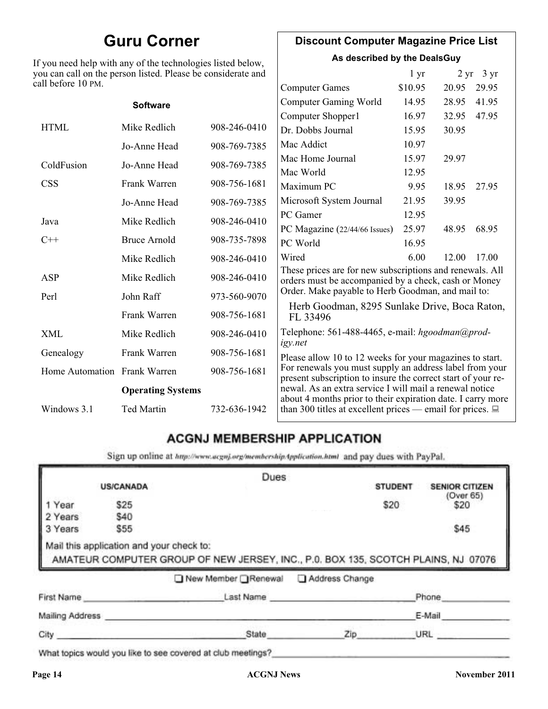# **Guru Corner**

If you need help with any of the technologies listed below, you can call on the person listed. Please be considerate and ca

# **Discount Computer Magazine Price List**

**As described by the DealsGuy**

| ll before 10 PM.             | ou can call on the person listed. Please be considerate and |              |                                                                                                                         | 1 <sub>yr</sub> |       | $2 \text{ yr}$ 3 yr |
|------------------------------|-------------------------------------------------------------|--------------|-------------------------------------------------------------------------------------------------------------------------|-----------------|-------|---------------------|
|                              |                                                             |              | <b>Computer Games</b>                                                                                                   | \$10.95         | 20.95 | 29.95               |
|                              | <b>Software</b>                                             |              | <b>Computer Gaming World</b>                                                                                            | 14.95           | 28.95 | 41.95               |
|                              |                                                             |              | Computer Shopper1                                                                                                       | 16.97           | 32.95 | 47.95               |
| <b>HTML</b>                  | Mike Redlich                                                | 908-246-0410 | Dr. Dobbs Journal                                                                                                       | 15.95           | 30.95 |                     |
|                              | Jo-Anne Head                                                | 908-769-7385 | Mac Addict                                                                                                              | 10.97           |       |                     |
| ColdFusion                   | Jo-Anne Head                                                | 908-769-7385 | Mac Home Journal                                                                                                        | 15.97           | 29.97 |                     |
|                              |                                                             |              | Mac World                                                                                                               | 12.95           |       |                     |
| <b>CSS</b>                   | Frank Warren                                                | 908-756-1681 | Maximum PC                                                                                                              | 9.95            | 18.95 | 27.95               |
|                              | Jo-Anne Head                                                | 908-769-7385 | Microsoft System Journal                                                                                                | 21.95           | 39.95 |                     |
| Java                         | Mike Redlich                                                | 908-246-0410 | PC Gamer                                                                                                                | 12.95           |       |                     |
|                              |                                                             |              | PC Magazine (22/44/66 Issues)                                                                                           | 25.97           | 48.95 | 68.95               |
| $C++$                        | <b>Bruce Arnold</b>                                         | 908-735-7898 | PC World                                                                                                                | 16.95           |       |                     |
|                              | Mike Redlich                                                | 908-246-0410 | Wired                                                                                                                   | 6.00            | 12.00 | 17.00               |
| ASP                          | Mike Redlich                                                | 908-246-0410 | These prices are for new subscriptions and renewals. All<br>orders must be accompanied by a check, cash or Money        |                 |       |                     |
| Perl                         | John Raff                                                   | 973-560-9070 | Order. Make payable to Herb Goodman, and mail to:                                                                       |                 |       |                     |
|                              | Frank Warren                                                | 908-756-1681 | Herb Goodman, 8295 Sunlake Drive, Boca Raton,<br>FL 33496                                                               |                 |       |                     |
| XML                          | Mike Redlich                                                | 908-246-0410 | Telephone: 561-488-4465, e-mail: hgoodman@prod-<br>igy.net                                                              |                 |       |                     |
| Genealogy                    | Frank Warren                                                | 908-756-1681 | Please allow 10 to 12 weeks for your magazines to start.                                                                |                 |       |                     |
| Home Automation Frank Warren |                                                             | 908-756-1681 | For renewals you must supply an address label from your<br>present subscription to insure the correct start of your re- |                 |       |                     |
|                              | <b>Operating Systems</b>                                    |              | newal. As an extra service I will mail a renewal notice<br>about 4 months prior to their expiration date. I carry more  |                 |       |                     |
| Windows 3.1                  | Ted Martin                                                  | 732-636-1942 | than 300 titles at excellent prices — email for prices. $\Box$                                                          |                 |       |                     |

# **ACGNJ MEMBERSHIP APPLICATION**

Sign up online at http://www.acguj.org/membershipApplication.html and pay dues with PayPal.

|                               |                                                                       | Dues                                                                                                                   |                |                           |
|-------------------------------|-----------------------------------------------------------------------|------------------------------------------------------------------------------------------------------------------------|----------------|---------------------------|
|                               | <b>US/CANADA</b>                                                      |                                                                                                                        | <b>STUDENT</b> | <b>SENIOR CITIZEN</b>     |
| Year<br>2 Years<br>3 Years    | \$25<br>\$40<br>\$55                                                  |                                                                                                                        | \$20           | (Over 65)<br>\$20<br>\$45 |
|                               |                                                                       |                                                                                                                        |                |                           |
|                               | Mail this application and your check to:<br>AMATEUR COMPUTER GROUP OF | AMATEUR COMPUTER GROUP OF NEW JERSEY, INC., P.0. BOX 135, SCOTCH PLAINS, NJ 07076<br>New Member Renewal Address Change |                |                           |
|                               |                                                                       | Last Name                                                                                                              |                | Phone                     |
| First Name<br>Mailing Address |                                                                       |                                                                                                                        |                | E-Mail                    |

What topics would you like to see covered at club meetings?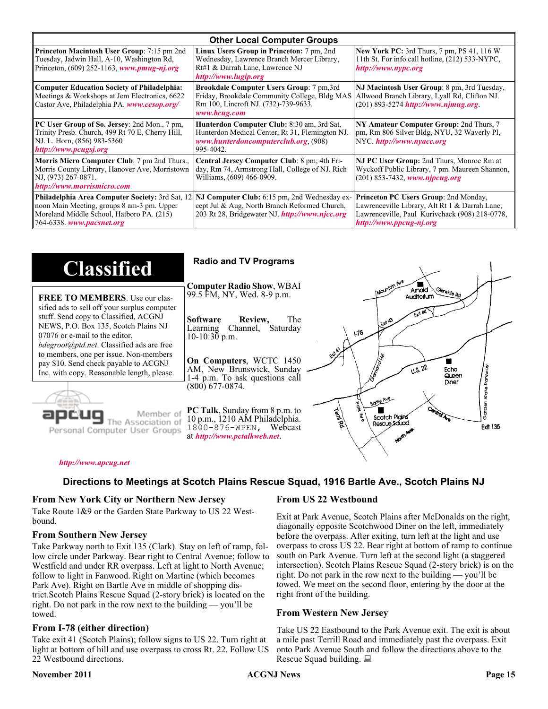| <b>Other Local Computer Groups</b>                                                                                                                                             |                                                                                                                                                           |                                                                                                                                                                      |  |
|--------------------------------------------------------------------------------------------------------------------------------------------------------------------------------|-----------------------------------------------------------------------------------------------------------------------------------------------------------|----------------------------------------------------------------------------------------------------------------------------------------------------------------------|--|
| <b>Princeton Macintosh User Group:</b> 7:15 pm 2nd<br>Tuesday, Jadwin Hall, A-10, Washington Rd,<br>Princeton, $(609)$ 252-1163, www.pmug-nj.org                               | Linux Users Group in Princeton: 7 pm, 2nd<br>Wednesday, Lawrence Branch Mercer Library,<br>Rt#1 & Darrah Lane, Lawrence NJ<br>http://www.lugip.org        | <b>New York PC:</b> 3rd Thurs, 7 pm, PS 41, 116 W<br>11th St. For info call hotline, (212) 533-NYPC,<br>http://www.nypc.org                                          |  |
| <b>Computer Education Society of Philadelphia:</b><br>Meetings & Workshops at Jem Electronics, 6622<br>Castor Ave, Philadelphia PA. www.cesop.org/                             | <b>Brookdale Computer Users Group:</b> 7 pm, 3rd<br>Friday, Brookdale Community College, Bldg MAS<br>Rm 100, Lincroft NJ. (732)-739-9633.<br>www.bcug.com | NJ Macintosh User Group: 8 pm, 3rd Tuesday,<br>Allwood Branch Library, Lyall Rd, Clifton NJ.<br>$(201) 893 - 5274$ http://www.njmug.org                              |  |
| PC User Group of So. Jersey: 2nd Mon., 7 pm,<br>Trinity Presb. Church, 499 Rt 70 E, Cherry Hill,<br>NJ. L. Horn, (856) 983-5360<br>http://www.pcugsj.org                       | Hunterdon Computer Club: 8:30 am, 3rd Sat,<br>Hunterdon Medical Center, Rt 31, Flemington NJ.<br>www.hunterdoncomputerclub.org. (908)<br>995-4042.        | NY Amateur Computer Group: 2nd Thurs, 7<br>pm, Rm 806 Silver Bldg, NYU, 32 Waverly Pl,<br>NYC http://www.nyacc.org                                                   |  |
| Morris Micro Computer Club: 7 pm 2nd Thurs.,<br>Morris County Library, Hanover Ave, Morristown<br>NJ, (973) 267-0871.<br>http://www.morrismicro.com                            | Central Jersey Computer Club: 8 pm, 4th Fri-<br>day, Rm 74, Armstrong Hall, College of NJ. Rich<br>Williams, (609) 466-0909.                              | NJ PC User Group: 2nd Thurs, Monroe Rm at<br>Wyckoff Public Library, 7 pm. Maureen Shannon,<br>$(201)$ 853-7432, www.njpcug.org                                      |  |
| <b>Philadelphia Area Computer Society: 3rd Sat, 12</b><br>noon Main Meeting, groups 8 am-3 pm. Upper<br>Moreland Middle School, Hatboro PA. (215)<br>764-6338. www.pacsnet.org | NJ Computer Club: 6:15 pm, 2nd Wednesday ex-<br>cept Jul & Aug, North Branch Reformed Church,<br>203 Rt 28, Bridgewater NJ. http://www.njcc.org           | Princeton PC Users Group: 2nd Monday,<br>Lawrenceville Library, Alt Rt 1 & Darrah Lane,<br>Lawrenceville, Paul Kurivchack (908) 218-0778,<br>http://www.ppcug-nj.org |  |

| <b>Classified</b>                                                                                                                                                                                                                                                                                                                                                                             | <b>Radio and TV Programs</b>                                                                                                                                                                                                                                                                                                        |
|-----------------------------------------------------------------------------------------------------------------------------------------------------------------------------------------------------------------------------------------------------------------------------------------------------------------------------------------------------------------------------------------------|-------------------------------------------------------------------------------------------------------------------------------------------------------------------------------------------------------------------------------------------------------------------------------------------------------------------------------------|
| <b>FREE TO MEMBERS.</b> Use our clas-<br>sified ads to sell off your surplus computer<br>stuff. Send copy to Classified, ACGNJ<br>NEWS, P.O. Box 135, Scotch Plains NJ<br>07076 or e-mail to the editor,<br><i>bdegroot@ptd.net.</i> Classified ads are free<br>to members, one per issue. Non-members<br>pay \$10. Send check payable to ACGNJ<br>Inc. with copy. Reasonable length, please. | INOUNION AVE<br><b>Computer Radio Show, WBAI</b><br>Amold<br>Slenside Rd<br>99.5 FM, NY, Wed. 8-9 p.m.<br>Auditorium<br>The<br><b>Software</b><br>Review,<br>LEXA A3<br>Channel, Saturday<br>Learning<br>$\sqrt{3}$<br>$10-10:30$ p.m.<br>On Computers, WCTC 1450<br>0.5.22<br>AM, New Brunswick, Sunday<br>Echo<br>Queen           |
| Member of<br>ociation of<br>Personal Computer User Groups                                                                                                                                                                                                                                                                                                                                     | 1-4 p.m. To ask questions call<br>Diner<br>$(800)$ 677-0874.<br>តិ<br>ភិ<br>Borle Ave<br>Ğ<br><b>PC Talk, Sunday from 8 p.m. to</b><br><b>Territory</b><br>Scotch Pigins<br>10 p.m., 1210 AM Philadelphia.<br>Rescue Sound<br><b>Ext 135</b><br>1800-876-WPEN, Webcast<br>at http://www.pctalkweb.net.<br>$\mathbf{v}^{\mathbf{r}}$ |

#### *<http://www.apcug.net>*

### **Directions to Meetings at Scotch Plains Rescue Squad, 1916 Bartle Ave., Scotch Plains NJ**

#### **From New York City or Northern New Jersey**

Take Route 1&9 or the Garden State Parkway to US 22 Westbound.

#### **From Southern New Jersey**

Take Parkway north to Exit 135 (Clark). Stay on left of ramp, follow circle under Parkway. Bear right to Central Avenue; follow to Westfield and under RR overpass. Left at light to North Avenue; follow to light in Fanwood. Right on Martine (which becomes Park Ave). Right on Bartle Ave in middle of shopping district.Scotch Plains Rescue Squad (2-story brick) is located on the right. Do not park in the row next to the building — you'll be towed.

#### **From I-78 (either direction)**

Take exit 41 (Scotch Plains); follow signs to US 22. Turn right at light at bottom of hill and use overpass to cross Rt. 22. Follow US 22 Westbound directions.

#### **November 2011 CONS Page 15 Page 15 Page 15 Page 16 Page 16 Page 16 Page 16 Page 16**

#### **From US 22 Westbound**

Exit at Park Avenue, Scotch Plains after McDonalds on the right, diagonally opposite Scotchwood Diner on the left, immediately before the overpass. After exiting, turn left at the light and use overpass to cross US 22. Bear right at bottom of ramp to continue south on Park Avenue. Turn left at the second light (a staggered intersection). Scotch Plains Rescue Squad (2-story brick) is on the right. Do not park in the row next to the building — you'll be towed. We meet on the second floor, entering by the door at the right front of the building.

#### **From Western New Jersey**

Take US 22 Eastbound to the Park Avenue exit. The exit is about a mile past Terrill Road and immediately past the overpass. Exit onto Park Avenue South and follow the directions above to the Rescue Squad building.